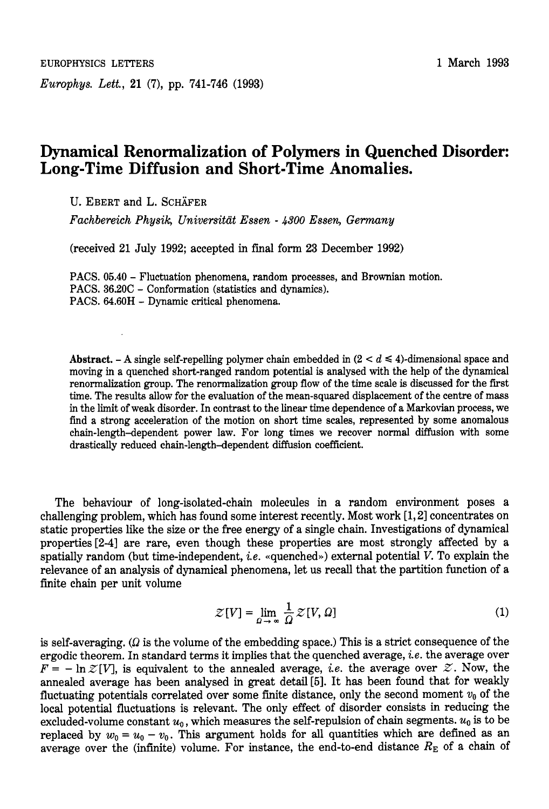*Europhys. Lett.,* 21 (7), pp. 741-746 (1993)

## **Dynamical Renormalization of Polymers in Quenched Disorder: Long-Time Diffusion and Short-Time Anomalies.**

U. EBERT and L. SCHÄFER

*Fachbereich Physik, Universittit Essen* - *4300 Essen, Gemny* 

(received 21 July 1992; accepted in final form 23 December 1992)

PACS. **05.40** - Fluctuation phenomena, random processes, and Brownian motion. PACS. 36.20C - Conformation (statistics and dynamics). PACS. 64.60H - Dynamic critical phenomena.

Abstract. - A single self-repelling polymer chain embedded in  $(2 < d \le 4)$ -dimensional space and moving in a quenched short-ranged random potential is analysed with the help of the dynamical renormalization group. The renormalization group flow of the time scale is discussed for the first time. The results allow for the evaluation of the mean-squared displacement of the centre of mass in the limit of weak disorder. In contrast to the linear time dependence of a Markovian process, we find a strong acceleration of the motion on short time scales, represented by some anomalous chain-length-dependent power law. For long times we recover normal diffusion with some drastically reduced chain-length-dependent diffusion coefficient.

The behaviour of long-isolated-chain molecules in a random environment poses a challenging problem, which has found some interest recently. Most work [l, **21** concentrates on static properties like the size or the free energy of a single chain. Investigations of dynamical properties[2-4] are rare, even though these properties are most strongly affected by a spatially random (but time-independent, *i.e.* «quenched») external potential V. To explain the relevance of an analysis of dynamical phenomena, let us recall that the partition function of a finite chain per unit volume

$$
\mathcal{Z}[V] = \lim_{\Omega \to \infty} \frac{1}{\Omega} \mathcal{Z}[V, \Omega] \tag{1}
$$

is self-averaging.  $(\Omega)$  is the volume of the embedding space.) This is a strict consequence of the ergodic theorem. In standard terms it implies that the quenched average, *i.e.* the average over  $F = -\ln \mathcal{Z}[V]$ , is equivalent to the annealed average, *i.e.* the average over  $\mathcal{Z}$ . Now, the annealed average has been analysed in great detail[5]. It has been found that for weakly fluctuating potentials correlated over some finite distance, only the second moment  $v_0$  of the local potential fluctuations is relevant. The only effect of disorder consists in reducing the excluded-volume constant  $u_0$ , which measures the self-repulsion of chain segments.  $u_0$  is to be replaced by  $w_0 = u_0 - v_0$ . This argument holds for all quantities which are defined as an average over the (infinite) volume. For instance, the end-to-end distance  $R_E$  of a chain of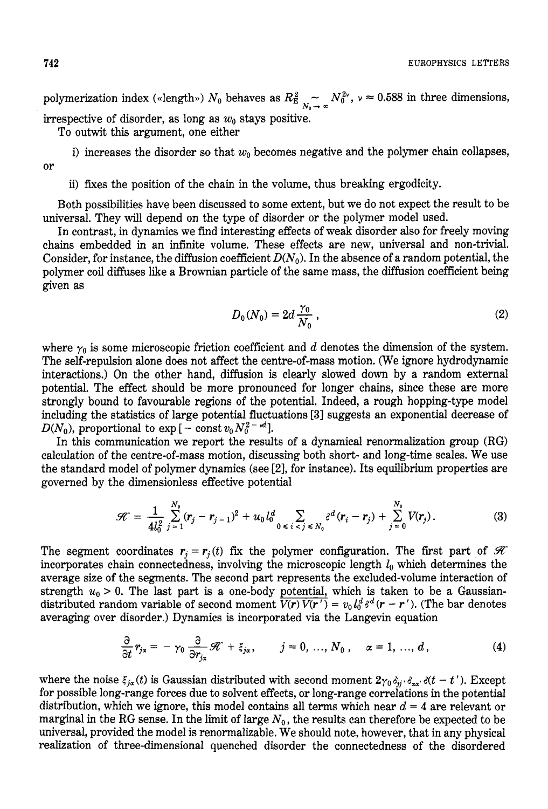**742** EUROPHYSICS LETTERS

polymerization index («length»)  $N_0$  behaves as  $R_{E_{N_0}\to \infty}^2 N_0^{2\nu}$ ,  $\nu \approx 0.588$  in three dimensions, irrespective of disorder, as long as  $w_0$  stays positive.

To outwit this argument, one either

or

**ii)** fxes the position of the chain in the volume, thus breaking ergodicity.

i) increases the disorder so that  $w_0$  becomes negative and the polymer chain collapses,

Both possibilities have been discussed to some extent, but we do not expect the result to be universal. They will depend on the type of disorder or the polymer model used.

In contrast, in dynamics we find interesting effects of weak disorder also for freely moving chains embedded in an infinite volume. These effects are new, universal and non-trivial. Consider, for instance, the diffusion coefficient  $D(N_0)$ . In the absence of a random potential, the polymer coil diffuses like a Brownian particle of the same mass, the diffusion coefficient being given as

$$
D_0(N_0) = 2d \frac{\gamma_0}{N_0}, \qquad (2)
$$

where  $\gamma_0$  is some microscopic friction coefficient and  $d$  denotes the dimension of the system. The self-repulsion alone does not affect the centre-of-mass motion. (We ignore hydrodynamic interactions.) On the other hand, diffusion is clearly slowed down by a random external potential. The effect should be more pronounced for longer chains, since these are more strongly bound to favourable regions of the potential. Indeed, a rough hopping-type model including the statistics of large potential fluctuations **[3]** suggests an exponential decrease of  $D(N_0)$ , proportional to  $\exp[-\text{const} v_0 N_0^2 - \mu^2]$ .

In this communication we report the results of a dynamical renormalization group (RG) calculation of the centre-of-mass motion, discussing both short- and long-time scales. We use the standard model of polymer dynamics (see **[2],** for instance). Its equilibrium properties are governed by the dimensionless effective potential

$$
\mathcal{H} = \frac{1}{4l_0^2} \sum_{j=1}^{N_0} (\mathbf{r}_j - \mathbf{r}_{j-1})^2 + u_0 l_0^d \sum_{0 \le i < j \le N_0} \delta^d (\mathbf{r}_i - \mathbf{r}_j) + \sum_{j=0}^{N_0} V(\mathbf{r}_j). \tag{3}
$$

The segment coordinates  $r_j = r_j(t)$  fix the polymer configuration. The first part of  $\mathcal{H}$ incorporates chain connectedness, involving the microscopic length  $l_0$  which determines the average size of the segments. The second part represents the excluded-volume interaction of strength  $u_0 > 0$ . The last part is a one-body potential, which is taken to be a Gaussian-<br>distributed random variable of second moment  $\overline{V(r) V(r')} = v_0 l_0^d s^d (r - r')$ . (The bar denotes averaging over disorder.) Dynamics is incorporated via the Langevin equation

$$
\frac{\partial}{\partial t} r_{j\alpha} = -\gamma_0 \frac{\partial}{\partial r_{j\alpha}} \mathcal{H} + \xi_{j\alpha}, \qquad j = 0, ..., N_0, \quad \alpha = 1, ..., d,
$$
\n(4)

where the noise  $\xi_{j\alpha}(t)$  is Gaussian distributed with second moment  $2\gamma_0 \delta_{ij} \delta_{\alpha\alpha'} \delta(t-t')$ . Except for possible long-range forces due to solvent effects, or long-range correlations in the potential distribution, which we ignore, this model contains all terms which near  $d = 4$  are relevant or marginal in the RG sense. In the limit of large  $N_0$ , the results can therefore be expected to be universal, provided the model is renormalizable. We should note, however, that in any physical realization of three-dimensional quenched disorder the connectedness of the disordered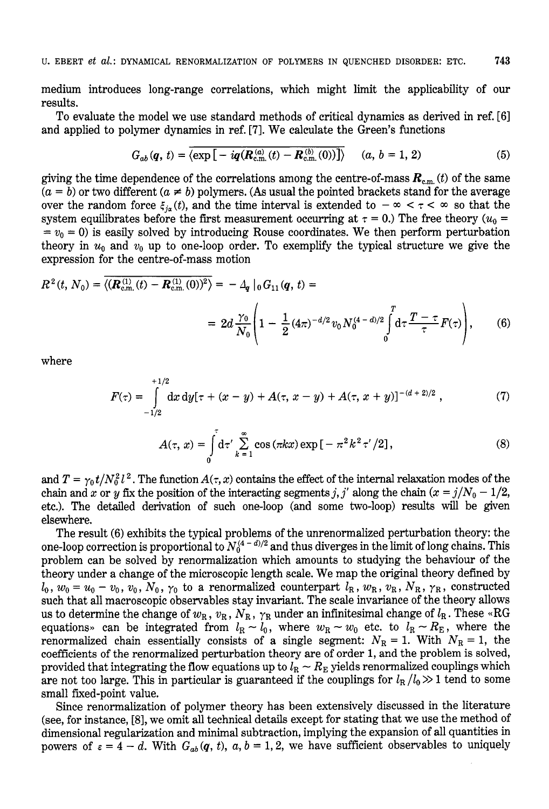medium introduces long-range correlations, which might limit the applicability of our results.

To evaluate the model we use standard methods of critical dynamics as derived in ref. [61 and applied to polymer dynamics in ref. **[7].** We calculate the Green's functions

$$
G_{ab}(\boldsymbol{q},\,t)=\overline{\langle \exp\big[-iq(\boldsymbol{R}_{\text{c.m.}}^{(a)}(t)-\boldsymbol{R}_{\text{c.m.}}^{(b)}(0))\big]\rangle}\qquad (a,\,b=1,\,2) \tag{5}
$$

giving the time dependence of the correlations among the centre-of-mass  $\boldsymbol{R}_{\text{c.m.}}(t)$  of the same  $(a = b)$  or two different  $(a \neq b)$  polymers. (As usual the pointed brackets stand for the average over the random force  $\xi_{i}$  (t), and the time interval is extended to  $-\infty < \tau < \infty$  so that the system equilibrates before the first measurement occurring at  $\tau = 0$ .) The free theory  $(u_0 =$  $= v_0 = 0$ ) is easily solved by introducing Rouse coordinates. We then perform perturbation theory in  $u_0$  and  $v_0$  up to one-loop order. To exemplify the typical structure we give the expression for the centre-of-mass motion

$$
R^{2}(t, N_{0}) = \overline{\langle (\mathbf{R}_{\text{c.m.}}^{(1)}(t) - \mathbf{R}_{\text{c.m.}}^{(1)}(0))^{2} \rangle} = -\Delta_{q} |_{0} G_{11}(q, t) =
$$
  

$$
= 2d \frac{\gamma_{0}}{N_{0}} \left( 1 - \frac{1}{2} (4\pi)^{-d/2} v_{0} N_{0}^{(4-d)/2} \int_{0}^{T} d\tau \frac{T - \tau}{\tau} F(\tau) \right), \qquad (6)
$$

where

$$
F(\tau) = \int_{-1/2}^{+1/2} dx \, dy [\tau + (x - y) + A(\tau, x - y) + A(\tau, x + y)]^{-(d + 2)/2}, \tag{7}
$$

$$
A(\tau, x) = \int_{-1/2}^{\tau} d\tau' \sum_{k=1}^{\infty} \cos(\pi k x) \exp[-\pi^2 k^2 \tau'/2], \tag{8}
$$

$$
A(\tau, x) = \int_{0}^{\tau} d\tau' \sum_{k=1}^{\infty} \cos(\pi k x) \exp[-\pi^{2} k^{2} \tau'/2],
$$
 (8)

and  $T = \gamma_0 t/N_0^2 l^2$ . The function  $A(\tau, x)$  contains the effect of the internal relaxation modes of the chain and *x* or *y* fix the position of the interacting segments *j, j'* along the chain  $(x = j/N_0 - 1/2$ , etc.). The detailed derivation of such one-loop (and some two-loop) results will be given elsewhere.

The result (6) exhibits the typical problems of the unrenormalized perturbation theory: the one-loop correction is proportional to  $N_0^{(4-d)/2}$  and thus diverges in the limit of long chains. This problem can be solved by renormalization which amounts to studying the behaviour of the theory under a change of the microscopic length scale. We map the original theory defined by  $l_0, w_0 = u_0 - v_0, v_0, N_0, \gamma_0$  to a renormalized counterpart  $l_R, w_R, v_R, N_R, \gamma_R$ , constructed such that all macroscopic observables stay invariant. The scale invariance of the theory allows us to determine the change of  $w_R$ ,  $v_R$ ,  $N_R$ ,  $\gamma_R$  under an infinitesimal change of  $l_R$ . These «RG equations» can be integrated from  $l_R \sim l_0$ , where  $w_R \sim w_0$  etc. to  $l_R \sim R_E$ , where the renormalized chain essentially consists of a single segment:  $N_R = 1$ . With  $N_R = 1$ , the coefficients of the renormalized perturbation theory are of order 1, and the problem is solved, provided that integrating the flow equations up to  $l_R \sim R_E$  yields renormalized couplings which are not too large. This in particular is guaranteed if the couplings for  $l_R/l_0 \gg 1$  tend to some small fixed-point value.

Since renormalization of polymer theory has been extensively discussed in the literature (see, for instance, [8], we omit all technical details except for stating that we use the method of dimensional regularization and minimal subtraction, implying the expansion of all quantities in powers of  $\varepsilon = 4 - d$ . With  $G_{ab}(q, t)$ ,  $a, b = 1, 2$ , we have sufficient observables to uniquely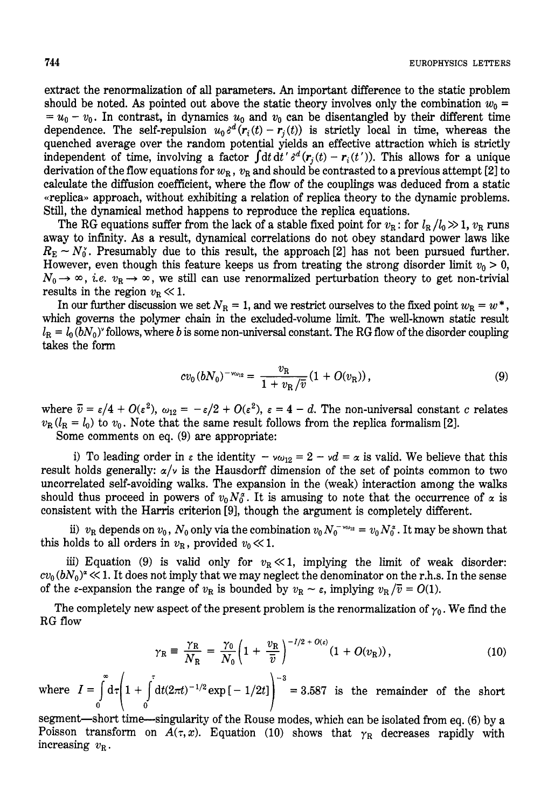extract the renormalization of all parameters. **An** important difference to the static problem should be noted. As pointed out above the static theory involves only the combination  $w_0 =$  $= u_0 - v_0$ . In contrast, in dynamics  $u_0$  and  $v_0$  can be disentangled by their different time dependence. The self-repulsion  $u_0 \delta^d (r_i(t) - r_i(t))$  is strictly local in time, whereas the quenched average over the random potential yields an effective attraction which is strictly independent of time, involving a factor  $\int dt\,dt' s^d(r_i(t) - r_i(t'))$ . This allows for a unique derivation of the flow equations for  $w_R$ ,  $v_R$  and should be contrasted to a previous attempt [2] to calculate the diffusion coefficient, where the flow of the couplings was deduced from a static «replica» approach, without exhibiting a relation of replica theory to the dynamic problems. Still, the dynamical method happens to reproduce the replica equations.

The RG equations suffer from the lack of a stable fixed point for  $v_{\rm R}$ : for  $l_{\rm R}/l_0 \gg 1$ ,  $v_{\rm R}$  runs away to infinity. As a result, dynamical correlations do not obey standard power laws like  $R_{\rm E} \sim N_0^{\rm g}$ . Presumably due to this result, the approach [2] has not been pursued further. However, even though this feature keeps us from treating the strong disorder limit  $v_0 > 0$ ,  $N_0 \rightarrow \infty$ , *i.e.*  $v_R \rightarrow \infty$ , we still can use renormalized perturbation theory to get non-trivial results in the region  $v_{\rm R} \ll 1$ .

In our further discussion we set  $N_R = 1$ , and we restrict ourselves to the fixed point  $w_R = w^*$ , which governs the polymer chain in the excluded-volume limit. The well-known static result  $L_R = L_0 (bN_0)^2$  follows, where *b* is some non-universal constant. The RG flow of the disorder coupling takes the form

$$
cv_0(bN_0)^{-v_{\omega_{12}}} = \frac{v_{\rm R}}{1+v_{\rm R}/\overline{v}}(1+O(v_{\rm R})),\tag{9}
$$

where  $\bar{v} = \varepsilon/4 + O(\varepsilon^2)$ ,  $\omega_{12} = -\varepsilon/2 + O(\varepsilon^2)$ ,  $\varepsilon = 4 - d$ . The non-universal constant c relates  $v_{\rm R}$  ( $l_{\rm R} = l_0$ ) to  $v_0$ . Note that the same result follows from the replica formalism [2].

Some comments on eq. (9) are appropriate:

i) To leading order in  $\varepsilon$  the identity  $-\nu \omega_{12} = 2 - \nu d = \alpha$  is valid. We believe that this result holds generally:  $\alpha/\nu$  is the Hausdorff dimension of the set of points common to two uncorrelated self-avoiding walks. The expansion in the (weak) interaction among the walks should thus proceed in powers of  $v_0 N_0^{\alpha}$ . It is amusing to note that the occurrence of  $\alpha$  is consistent with the **Harris** criterion [9], though the argument is completely different.

ii)  $v_R$  depends on  $v_0$ ,  $N_0$  only via the combination  $v_0 N_0^{-\nu_{\text{O12}}} = v_0 N_0^*$ . It may be shown that this holds to all orders in  $v_R$ , provided  $v_0 \ll 1$ .

iii) Equation (9) is valid only for  $v_R \ll 1$ , implying the limit of weak disorder:  $cv_0 (bN_0)^2 \ll 1$ . It does not imply that we may neglect the denominator on the r.h.s. In the sense of the  $\varepsilon$ -expansion the range of  $v_R$  is bounded by  $v_R \sim \varepsilon$ , implying  $v_R/\overline{v} = O(1)$ .

The completely new aspect of the present problem is the renormalization of  $\gamma_0$ . We find the RG flow

$$
\gamma_{\rm R} \equiv \frac{\gamma_{\rm R}}{N_{\rm R}} = \frac{\gamma_0}{N_0} \bigg( 1 + \frac{v_{\rm R}}{\bar{v}} \bigg)^{-1/2 + O(\epsilon)} (1 + O(v_{\rm R})) \,, \tag{10}
$$

 $dt(2\pi t)^{-1/2}$  exp $[-1/2t]$ <sup>-3</sup> = 3.587 is the remainder of the short **0** 

segment-short time-singularity of the Rouse modes, which can be isolated from eq. (6) by a Poisson transform on  $A(\tau, x)$ . Equation (10) shows that  $\gamma_R$  decreases rapidly with increasing  $v_{\rm R}$ .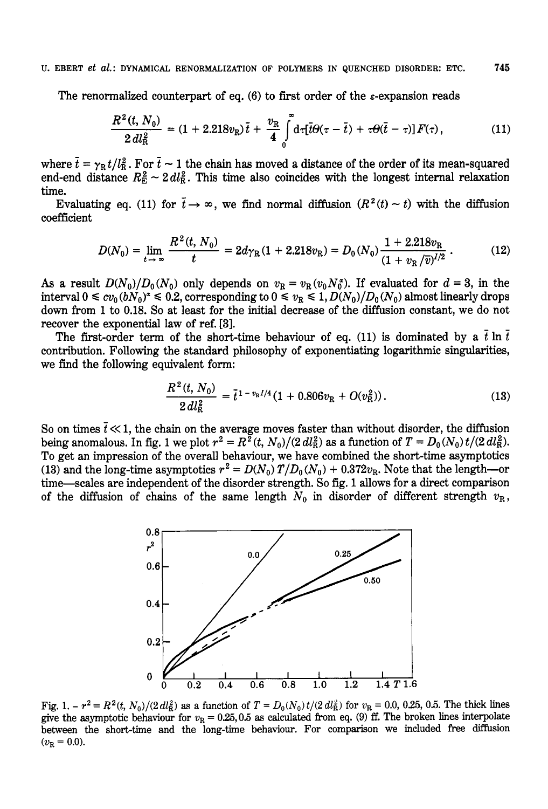## U. EBERT et al.: DYNAMICAL RENORMALIZATION OF POLYMERS IN QUENCHED DISORDER: ETC. **745**

The renormalized counterpart of eq. (6) to first order of the  $\varepsilon$ -expansion reads

$$
\frac{R^2(t, N_0)}{2\,dl_{\rm R}^2} = (1 + 2.218v_{\rm R})\,\overline{t} + \frac{v_{\rm R}}{4}\int\limits_0^\infty d\tau [\overline{t}\Theta(\tau - \overline{t}) + \tau\Theta(\overline{t} - \tau)]\,F(\tau),\tag{11}
$$

where  $\bar{t} = \gamma_R t/l_R^2$ . For  $\bar{t} \sim 1$  the chain has moved a distance of the order of its mean-squared where  $t = \gamma_R t/l_R^2$ . For  $t \sim 1$  the chain has moved a distance of the order of its mean-squared end-end distance  $R_E^2 \sim 2 \, dl_R^2$ . This time also coincides with the longest internal relaxation time.

Evaluating eq. (11) for  $\bar{t} \to \infty$ , we find normal diffusion  $(R^2(t) \sim t)$  with the diffusion coefficient

$$
D(N_0) = \lim_{t \to \infty} \frac{R^2(t, N_0)}{t} = 2d\gamma_{\rm R}(1 + 2.218v_{\rm R}) = D_0(N_0) \frac{1 + 2.218v_{\rm R}}{(1 + v_{\rm R}/\overline{v})^{1/2}}\,. \tag{12}
$$

As a result  $D(N_0)/D_0(N_0)$  only depends on  $v_R = v_R(v_0/N_0^s)$ . If evaluated for  $d = 3$ , in the interval  $0 \leq cv_0(bN_0)^2 \leq 0.2$ , corresponding to  $0 \leq v_R \leq 1$ ,  $D(N_0)/D_0(N_0)$  almost linearly drops down from 1 to 0.18. So at least for the initial decrease of the diffusion constant, we do not recover the exponential law of ref. [3].

The first-order term of the short-time behaviour of eq. (11) is dominated by a  $\bar{t}$  ln  $\bar{t}$ contribution. Following the standard philosophy of exponentiating logarithmic singularities, we find the following equivalent form:

$$
\frac{R^2(t, N_0)}{2\,dl_0^2} = \bar{t}^{1-v_R I/4} (1 + 0.806v_R + O(v_R^2)).\tag{13}
$$

So on times  $\bar{t} \ll 1$ , the chain on the average moves faster than without disorder, the diffusion being anomalous. In fig. 1 we plot  $r^2 = R^2(t, N_0)/(2 \, dl_R^2)$  as a function of  $T = D_0(N_0) t/(2 \, dl_R^2)$ . To get an impression of the overall behaviour, we have combined the short-time asymptotics (13) and the long-time asymptotics  $r^2 = D(N_0)T/D_0(N_0) + 0.372v_R$ . Note that the length-or time-scales are independent of the disorder strength. So fig. 1 allows for a direct comparison of the diffusion of chains of the same length  $N_0$  in disorder of different strength  $v_R$ ,



Fig. 1.  $-r^2 = R^2(t, N_0)/(2 \frac{dl_E^2}{R})$  as a function of  $T = D_0(N_0) t/(2 \frac{dl_E^2}{R})$  for  $v_R = 0.0, 0.25, 0.5$ . The thick lines give the asymptotic behaviour for  $v_R = 0.25, 0.5$  as calculated from eq. (9) ff. The broken lines interpolate between the short-time and the long-time behaviour. For comparison we included **free** diffusion  $(v_{\rm R} = 0.0).$